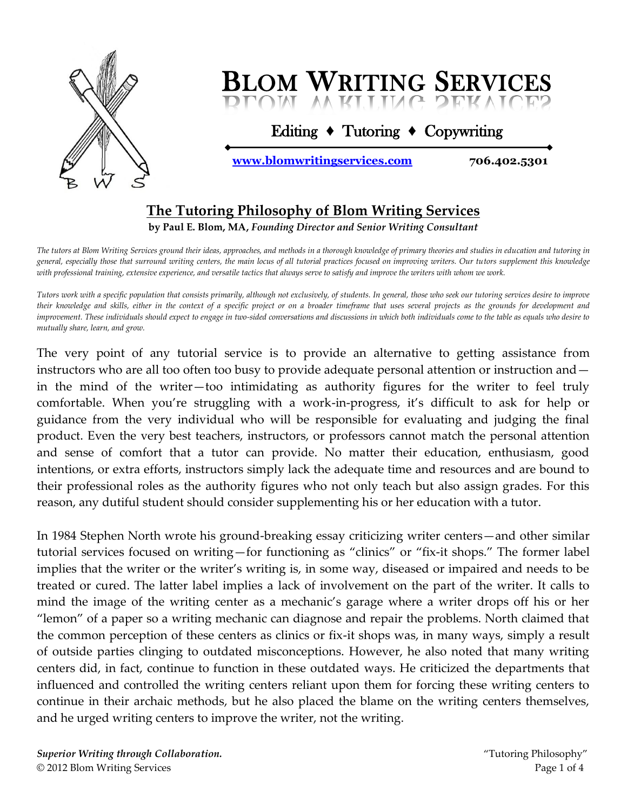

Editing **♦** Tutoring **♦** Copywriting

**<www.blomwritingservices.com>706.402.5301**

#### **The Tutoring Philosophy of Blom Writing Services**

**by Paul E. Blom, MA,** *Founding Director and Senior Writing Consultant*

*The tutors at Blom Writing Services ground their ideas, approaches, and methods in a thorough knowledge of primary theories and studies in education and tutoring in general, especially those that surround writing centers, the main locus of all tutorial practices focused on improving writers. Our tutors supplement this knowledge with professional training, extensive experience, and versatile tactics that always serve to satisfy and improve the writers with whom we work.*

*Tutors work with a specific population that consists primarily, although not exclusively, of students. In general, those who seek our tutoring services desire to improve their knowledge and skills, either in the context of a specific project or on a broader timeframe that uses several projects as the grounds for development and improvement. These individuals should expect to engage in two-sided conversations and discussions in which both individuals come to the table as equals who desire to mutually share, learn, and grow.*

The very point of any tutorial service is to provide an alternative to getting assistance from instructors who are all too often too busy to provide adequate personal attention or instruction and in the mind of the writer—too intimidating as authority figures for the writer to feel truly comfortable. When you're struggling with a work-in-progress, it's difficult to ask for help or guidance from the very individual who will be responsible for evaluating and judging the final product. Even the very best teachers, instructors, or professors cannot match the personal attention and sense of comfort that a tutor can provide. No matter their education, enthusiasm, good intentions, or extra efforts, instructors simply lack the adequate time and resources and are bound to their professional roles as the authority figures who not only teach but also assign grades. For this reason, any dutiful student should consider supplementing his or her education with a tutor.

In 1984 Stephen North wrote his ground-breaking essay criticizing writer centers—and other similar tutorial services focused on writing—for functioning as "clinics" or "fix-it shops." The former label implies that the writer or the writer's writing is, in some way, diseased or impaired and needs to be treated or cured. The latter label implies a lack of involvement on the part of the writer. It calls to mind the image of the writing center as a mechanic's garage where a writer drops off his or her "lemon" of a paper so a writing mechanic can diagnose and repair the problems. North claimed that the common perception of these centers as clinics or fix-it shops was, in many ways, simply a result of outside parties clinging to outdated misconceptions. However, he also noted that many writing centers did, in fact, continue to function in these outdated ways. He criticized the departments that influenced and controlled the writing centers reliant upon them for forcing these writing centers to continue in their archaic methods, but he also placed the blame on the writing centers themselves, and he urged writing centers to improve the writer, not the writing.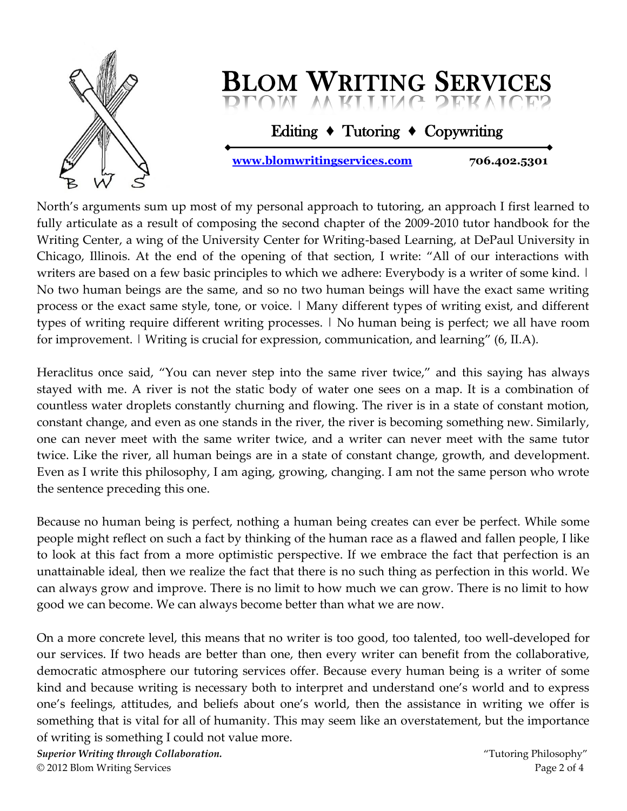

Editing **♦** Tutoring **♦** Copywriting

**<www.blomwritingservices.com>706.402.5301**

North's arguments sum up most of my personal approach to tutoring, an approach I first learned to fully articulate as a result of composing the second chapter of the 2009-2010 tutor handbook for the Writing Center, a wing of the University Center for Writing-based Learning, at DePaul University in Chicago, Illinois. At the end of the opening of that section, I write: "All of our interactions with writers are based on a few basic principles to which we adhere: Everybody is a writer of some kind. | No two human beings are the same, and so no two human beings will have the exact same writing process or the exact same style, tone, or voice. | Many different types of writing exist, and different types of writing require different writing processes. | No human being is perfect; we all have room for improvement. | Writing is crucial for expression, communication, and learning" (6, II.A).

Heraclitus once said, "You can never step into the same river twice," and this saying has always stayed with me. A river is not the static body of water one sees on a map. It is a combination of countless water droplets constantly churning and flowing. The river is in a state of constant motion, constant change, and even as one stands in the river, the river is becoming something new. Similarly, one can never meet with the same writer twice, and a writer can never meet with the same tutor twice. Like the river, all human beings are in a state of constant change, growth, and development. Even as I write this philosophy, I am aging, growing, changing. I am not the same person who wrote the sentence preceding this one.

Because no human being is perfect, nothing a human being creates can ever be perfect. While some people might reflect on such a fact by thinking of the human race as a flawed and fallen people, I like to look at this fact from a more optimistic perspective. If we embrace the fact that perfection is an unattainable ideal, then we realize the fact that there is no such thing as perfection in this world. We can always grow and improve. There is no limit to how much we can grow. There is no limit to how good we can become. We can always become better than what we are now.

On a more concrete level, this means that no writer is too good, too talented, too well-developed for our services. If two heads are better than one, then every writer can benefit from the collaborative, democratic atmosphere our tutoring services offer. Because every human being is a writer of some kind and because writing is necessary both to interpret and understand one's world and to express one's feelings, attitudes, and beliefs about one's world, then the assistance in writing we offer is something that is vital for all of humanity. This may seem like an overstatement, but the importance of writing is something I could not value more.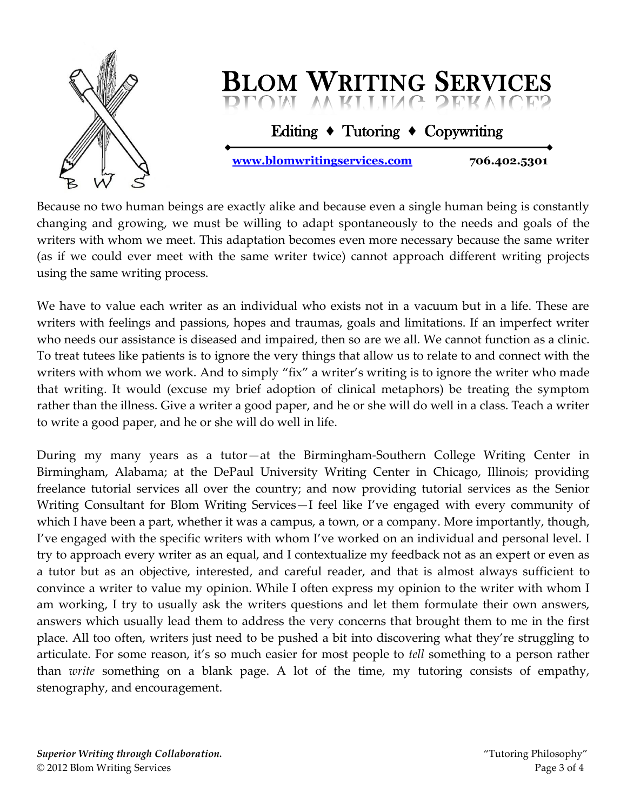

Editing **♦** Tutoring **♦** Copywriting

**<www.blomwritingservices.com>706.402.5301**

Because no two human beings are exactly alike and because even a single human being is constantly changing and growing, we must be willing to adapt spontaneously to the needs and goals of the writers with whom we meet. This adaptation becomes even more necessary because the same writer (as if we could ever meet with the same writer twice) cannot approach different writing projects using the same writing process.

We have to value each writer as an individual who exists not in a vacuum but in a life. These are writers with feelings and passions, hopes and traumas, goals and limitations. If an imperfect writer who needs our assistance is diseased and impaired, then so are we all. We cannot function as a clinic. To treat tutees like patients is to ignore the very things that allow us to relate to and connect with the writers with whom we work. And to simply "fix" a writer's writing is to ignore the writer who made that writing. It would (excuse my brief adoption of clinical metaphors) be treating the symptom rather than the illness. Give a writer a good paper, and he or she will do well in a class. Teach a writer to write a good paper, and he or she will do well in life.

During my many years as a tutor—at the Birmingham-Southern College Writing Center in Birmingham, Alabama; at the DePaul University Writing Center in Chicago, Illinois; providing freelance tutorial services all over the country; and now providing tutorial services as the Senior Writing Consultant for Blom Writing Services—I feel like I've engaged with every community of which I have been a part, whether it was a campus, a town, or a company. More importantly, though, I've engaged with the specific writers with whom I've worked on an individual and personal level. I try to approach every writer as an equal, and I contextualize my feedback not as an expert or even as a tutor but as an objective, interested, and careful reader, and that is almost always sufficient to convince a writer to value my opinion. While I often express my opinion to the writer with whom I am working, I try to usually ask the writers questions and let them formulate their own answers, answers which usually lead them to address the very concerns that brought them to me in the first place. All too often, writers just need to be pushed a bit into discovering what they're struggling to articulate. For some reason, it's so much easier for most people to *tell* something to a person rather than *write* something on a blank page. A lot of the time, my tutoring consists of empathy, stenography, and encouragement.